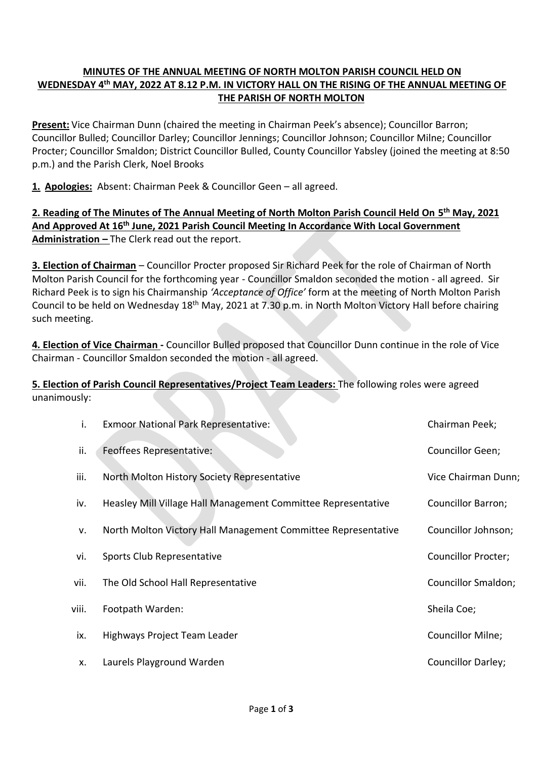## **MINUTES OF THE ANNUAL MEETING OF NORTH MOLTON PARISH COUNCIL HELD ON WEDNESDAY 4 th MAY, 2022 AT 8.12 P.M. IN VICTORY HALL ON THE RISING OF THE ANNUAL MEETING OF THE PARISH OF NORTH MOLTON**

**Present:** Vice Chairman Dunn (chaired the meeting in Chairman Peek's absence); Councillor Barron; Councillor Bulled; Councillor Darley; Councillor Jennings; Councillor Johnson; Councillor Milne; Councillor Procter; Councillor Smaldon; District Councillor Bulled, County Councillor Yabsley (joined the meeting at 8:50 p.m.) and the Parish Clerk, Noel Brooks

**1. Apologies:** Absent: Chairman Peek & Councillor Geen – all agreed.

**2. Reading of The Minutes of The Annual Meeting of North Molton Parish Council Held On 5 th May, 2021 And Approved At 16 th June, 2021 Parish Council Meeting In Accordance With Local Government Administration –** The Clerk read out the report.

**3. Election of Chairman** – Councillor Procter proposed Sir Richard Peek for the role of Chairman of North Molton Parish Council for the forthcoming year - Councillor Smaldon seconded the motion - all agreed. Sir Richard Peek is to sign his Chairmanship *'Acceptance of Office'* form at the meeting of North Molton Parish Council to be held on Wednesday 18<sup>th</sup> May, 2021 at 7.30 p.m. in North Molton Victory Hall before chairing such meeting.

**4. Election of Vice Chairman -** Councillor Bulled proposed that Councillor Dunn continue in the role of Vice Chairman - Councillor Smaldon seconded the motion - all agreed.

**5. Election of Parish Council Representatives/Project Team Leaders:** The following roles were agreed unanimously:

| i.    | Exmoor National Park Representative:                          | Chairman Peek;             |
|-------|---------------------------------------------------------------|----------------------------|
| ii.   | Feoffees Representative:                                      | Councillor Geen;           |
| iii.  | North Molton History Society Representative                   | Vice Chairman Dunn;        |
| iv.   | Heasley Mill Village Hall Management Committee Representative | <b>Councillor Barron;</b>  |
| v.    | North Molton Victory Hall Management Committee Representative | Councillor Johnson;        |
| vi.   | Sports Club Representative                                    | <b>Councillor Procter;</b> |
| vii.  | The Old School Hall Representative                            | Councillor Smaldon;        |
| viii. | Footpath Warden:                                              | Sheila Coe;                |
| ix.   | Highways Project Team Leader                                  | Councillor Milne;          |
| x.    | Laurels Playground Warden                                     | Councillor Darley;         |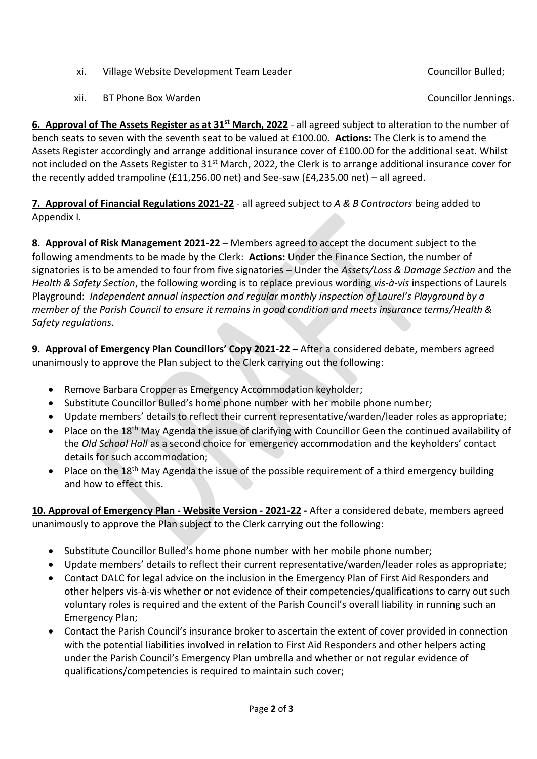- xi. Village Website Development Team Leader Councillor Bulled;
- xii. BT Phone Box Warden Councillor Jennings.

**6. Approval of The Assets Register as at 31st March, 2022** - all agreed subject to alteration to the number of bench seats to seven with the seventh seat to be valued at £100.00. **Actions:** The Clerk is to amend the Assets Register accordingly and arrange additional insurance cover of £100.00 for the additional seat. Whilst not included on the Assets Register to 31<sup>st</sup> March, 2022, the Clerk is to arrange additional insurance cover for the recently added trampoline ( $£11,256.00$  net) and See-saw ( $£4,235.00$  net) – all agreed.

**7. Approval of Financial Regulations 2021-22** - all agreed subject to *A & B Contractors* being added to Appendix I.

**8. Approval of Risk Management 2021-22** – Members agreed to accept the document subject to the following amendments to be made by the Clerk: **Actions:** Under the Finance Section, the number of signatories is to be amended to four from five signatories – Under the *Assets/Loss & Damage Section* and the *Health & Safety Section*, the following wording is to replace previous wording *vis-à-vis* inspections of Laurels Playground: *Independent annual inspection and regular monthly inspection of Laurel's Playground by a member of the Parish Council to ensure it remains in good condition and meets insurance terms/Health & Safety regulations.* 

**9. Approval of Emergency Plan Councillors' Copy 2021-22 –** After a considered debate, members agreed unanimously to approve the Plan subject to the Clerk carrying out the following:

- Remove Barbara Cropper as Emergency Accommodation keyholder;
- Substitute Councillor Bulled's home phone number with her mobile phone number;
- Update members' details to reflect their current representative/warden/leader roles as appropriate;
- Place on the 18<sup>th</sup> May Agenda the issue of clarifying with Councillor Geen the continued availability of the *Old School Hall* as a second choice for emergency accommodation and the keyholders' contact details for such accommodation;
- Place on the 18<sup>th</sup> May Agenda the issue of the possible requirement of a third emergency building and how to effect this.

**10. Approval of Emergency Plan - Website Version - 2021-22 -** After a considered debate, members agreed unanimously to approve the Plan subject to the Clerk carrying out the following:

- Substitute Councillor Bulled's home phone number with her mobile phone number;
- Update members' details to reflect their current representative/warden/leader roles as appropriate;
- Contact DALC for legal advice on the inclusion in the Emergency Plan of First Aid Responders and other helpers vis-à-vis whether or not evidence of their competencies/qualifications to carry out such voluntary roles is required and the extent of the Parish Council's overall liability in running such an Emergency Plan;
- Contact the Parish Council's insurance broker to ascertain the extent of cover provided in connection with the potential liabilities involved in relation to First Aid Responders and other helpers acting under the Parish Council's Emergency Plan umbrella and whether or not regular evidence of qualifications/competencies is required to maintain such cover;